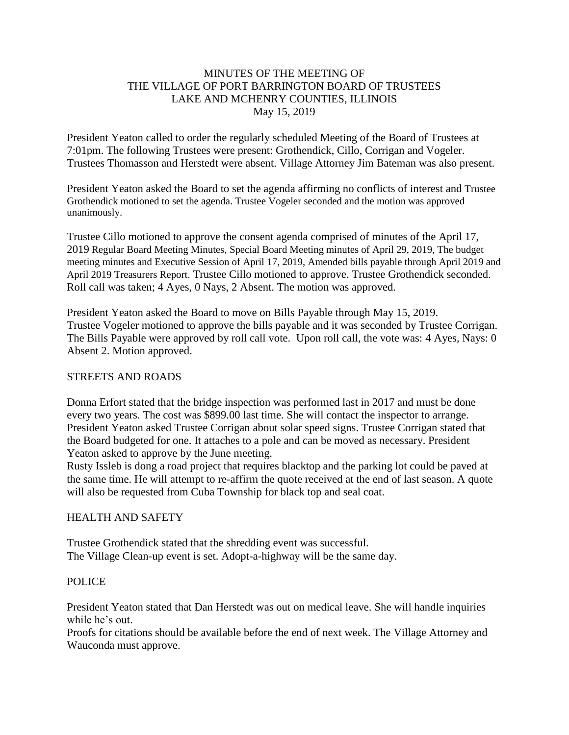### MINUTES OF THE MEETING OF THE VILLAGE OF PORT BARRINGTON BOARD OF TRUSTEES LAKE AND MCHENRY COUNTIES, ILLINOIS May 15, 2019

President Yeaton called to order the regularly scheduled Meeting of the Board of Trustees at 7:01pm. The following Trustees were present: Grothendick, Cillo, Corrigan and Vogeler. Trustees Thomasson and Herstedt were absent. Village Attorney Jim Bateman was also present.

President Yeaton asked the Board to set the agenda affirming no conflicts of interest and Trustee Grothendick motioned to set the agenda. Trustee Vogeler seconded and the motion was approved unanimously.

Trustee Cillo motioned to approve the consent agenda comprised of minutes of the April 17, 2019 Regular Board Meeting Minutes, Special Board Meeting minutes of April 29, 2019, The budget meeting minutes and Executive Session of April 17, 2019, Amended bills payable through April 2019 and April 2019 Treasurers Report. Trustee Cillo motioned to approve. Trustee Grothendick seconded. Roll call was taken; 4 Ayes, 0 Nays, 2 Absent. The motion was approved.

President Yeaton asked the Board to move on Bills Payable through May 15, 2019. Trustee Vogeler motioned to approve the bills payable and it was seconded by Trustee Corrigan. The Bills Payable were approved by roll call vote. Upon roll call, the vote was: 4 Ayes, Nays: 0 Absent 2. Motion approved.

### STREETS AND ROADS

Donna Erfort stated that the bridge inspection was performed last in 2017 and must be done every two years. The cost was \$899.00 last time. She will contact the inspector to arrange. President Yeaton asked Trustee Corrigan about solar speed signs. Trustee Corrigan stated that the Board budgeted for one. It attaches to a pole and can be moved as necessary. President Yeaton asked to approve by the June meeting.

Rusty Issleb is dong a road project that requires blacktop and the parking lot could be paved at the same time. He will attempt to re-affirm the quote received at the end of last season. A quote will also be requested from Cuba Township for black top and seal coat.

### HEALTH AND SAFETY

Trustee Grothendick stated that the shredding event was successful. The Village Clean-up event is set. Adopt-a-highway will be the same day.

### POLICE

President Yeaton stated that Dan Herstedt was out on medical leave. She will handle inquiries while he's out.

Proofs for citations should be available before the end of next week. The Village Attorney and Wauconda must approve.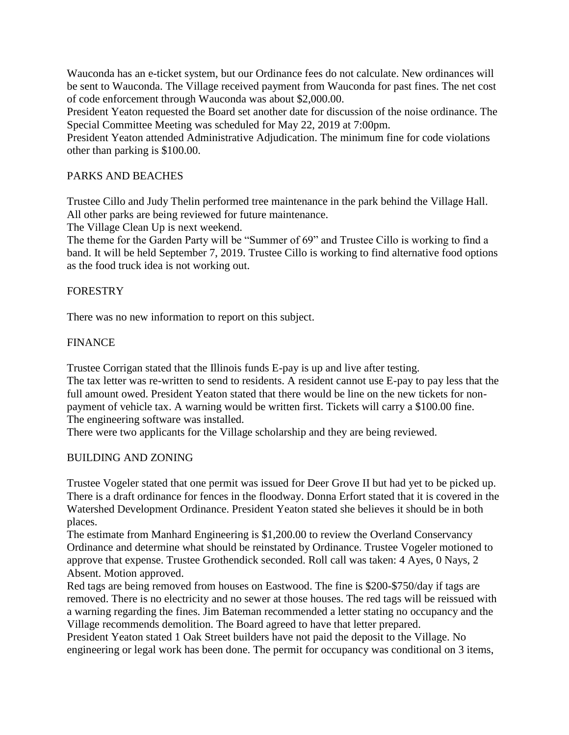Wauconda has an e-ticket system, but our Ordinance fees do not calculate. New ordinances will be sent to Wauconda. The Village received payment from Wauconda for past fines. The net cost of code enforcement through Wauconda was about \$2,000.00.

President Yeaton requested the Board set another date for discussion of the noise ordinance. The Special Committee Meeting was scheduled for May 22, 2019 at 7:00pm.

President Yeaton attended Administrative Adjudication. The minimum fine for code violations other than parking is \$100.00.

### PARKS AND BEACHES

Trustee Cillo and Judy Thelin performed tree maintenance in the park behind the Village Hall. All other parks are being reviewed for future maintenance.

The Village Clean Up is next weekend.

The theme for the Garden Party will be "Summer of 69" and Trustee Cillo is working to find a band. It will be held September 7, 2019. Trustee Cillo is working to find alternative food options as the food truck idea is not working out.

### FORESTRY

There was no new information to report on this subject.

### **FINANCE**

Trustee Corrigan stated that the Illinois funds E-pay is up and live after testing.

The tax letter was re-written to send to residents. A resident cannot use E-pay to pay less that the full amount owed. President Yeaton stated that there would be line on the new tickets for nonpayment of vehicle tax. A warning would be written first. Tickets will carry a \$100.00 fine. The engineering software was installed.

There were two applicants for the Village scholarship and they are being reviewed.

### BUILDING AND ZONING

Trustee Vogeler stated that one permit was issued for Deer Grove II but had yet to be picked up. There is a draft ordinance for fences in the floodway. Donna Erfort stated that it is covered in the Watershed Development Ordinance. President Yeaton stated she believes it should be in both places.

The estimate from Manhard Engineering is \$1,200.00 to review the Overland Conservancy Ordinance and determine what should be reinstated by Ordinance. Trustee Vogeler motioned to approve that expense. Trustee Grothendick seconded. Roll call was taken: 4 Ayes, 0 Nays, 2 Absent. Motion approved.

Red tags are being removed from houses on Eastwood. The fine is \$200-\$750/day if tags are removed. There is no electricity and no sewer at those houses. The red tags will be reissued with a warning regarding the fines. Jim Bateman recommended a letter stating no occupancy and the Village recommends demolition. The Board agreed to have that letter prepared.

President Yeaton stated 1 Oak Street builders have not paid the deposit to the Village. No engineering or legal work has been done. The permit for occupancy was conditional on 3 items,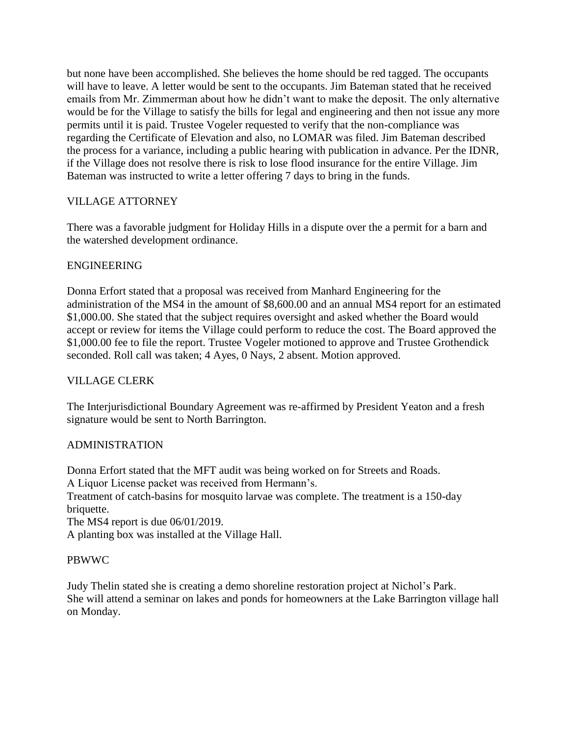but none have been accomplished. She believes the home should be red tagged. The occupants will have to leave. A letter would be sent to the occupants. Jim Bateman stated that he received emails from Mr. Zimmerman about how he didn't want to make the deposit. The only alternative would be for the Village to satisfy the bills for legal and engineering and then not issue any more permits until it is paid. Trustee Vogeler requested to verify that the non-compliance was regarding the Certificate of Elevation and also, no LOMAR was filed. Jim Bateman described the process for a variance, including a public hearing with publication in advance. Per the IDNR, if the Village does not resolve there is risk to lose flood insurance for the entire Village. Jim Bateman was instructed to write a letter offering 7 days to bring in the funds.

## VILLAGE ATTORNEY

There was a favorable judgment for Holiday Hills in a dispute over the a permit for a barn and the watershed development ordinance.

# ENGINEERING

Donna Erfort stated that a proposal was received from Manhard Engineering for the administration of the MS4 in the amount of \$8,600.00 and an annual MS4 report for an estimated \$1,000.00. She stated that the subject requires oversight and asked whether the Board would accept or review for items the Village could perform to reduce the cost. The Board approved the \$1,000.00 fee to file the report. Trustee Vogeler motioned to approve and Trustee Grothendick seconded. Roll call was taken; 4 Ayes, 0 Nays, 2 absent. Motion approved.

## VILLAGE CLERK

The Interjurisdictional Boundary Agreement was re-affirmed by President Yeaton and a fresh signature would be sent to North Barrington.

## ADMINISTRATION

Donna Erfort stated that the MFT audit was being worked on for Streets and Roads.

A Liquor License packet was received from Hermann's.

Treatment of catch-basins for mosquito larvae was complete. The treatment is a 150-day briquette.

The MS4 report is due 06/01/2019.

A planting box was installed at the Village Hall.

## PBWWC

Judy Thelin stated she is creating a demo shoreline restoration project at Nichol's Park. She will attend a seminar on lakes and ponds for homeowners at the Lake Barrington village hall on Monday.